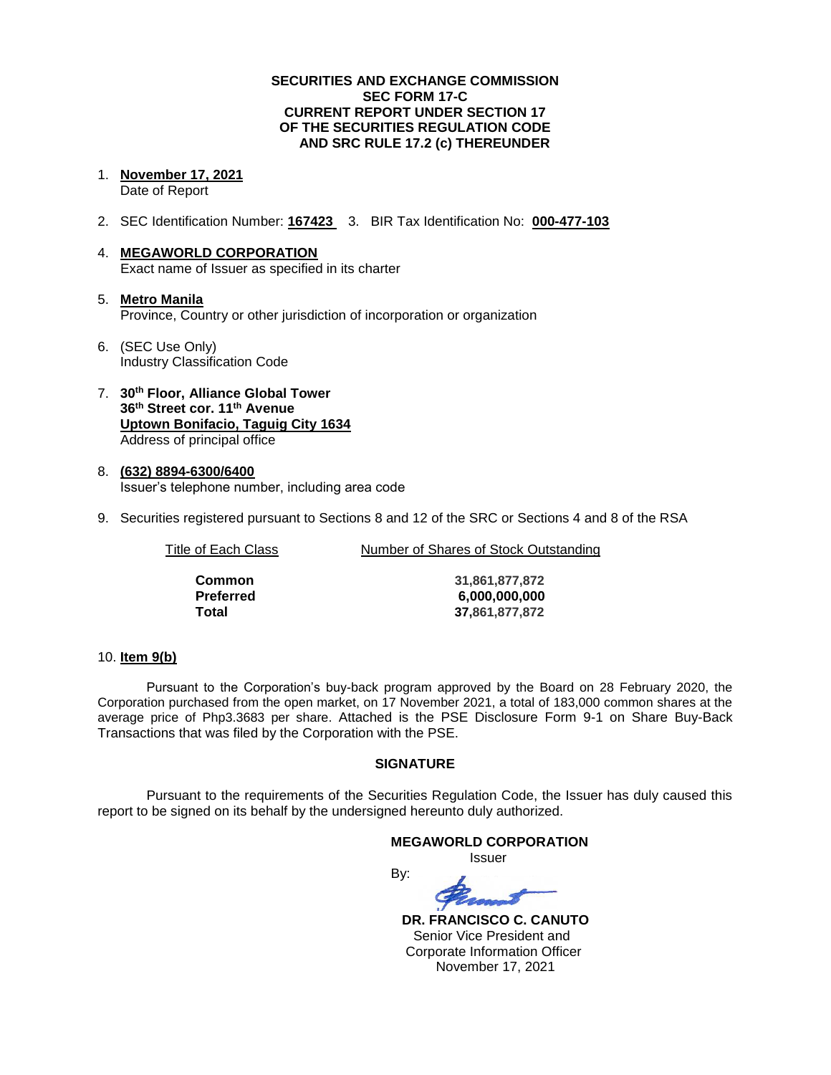# **SECURITIES AND EXCHANGE COMMISSION SEC FORM 17-C CURRENT REPORT UNDER SECTION 17 OF THE SECURITIES REGULATION CODE AND SRC RULE 17.2 (c) THEREUNDER**

#### 1. **November 17, 2021**

Date of Report

2. SEC Identification Number: **167423** 3. BIR Tax Identification No: **000-477-103**

# 4. **MEGAWORLD CORPORATION** Exact name of Issuer as specified in its charter

- 5. **Metro Manila** Province, Country or other jurisdiction of incorporation or organization
- 6. (SEC Use Only) Industry Classification Code
- 7. **30th Floor, Alliance Global Tower 36th Street cor. 11th Avenue Uptown Bonifacio, Taguig City 1634** Address of principal office
- 8. **(632) 8894-6300/6400** Issuer's telephone number, including area code
- 9. Securities registered pursuant to Sections 8 and 12 of the SRC or Sections 4 and 8 of the RSA

| Number of Shares of Stock Outstanding |
|---------------------------------------|
| 31,861,877,872                        |
| 6,000,000,000                         |
| 37,861,877,872                        |
|                                       |

# 10. **Item 9(b)**

Pursuant to the Corporation's buy-back program approved by the Board on 28 February 2020, the Corporation purchased from the open market, on 17 November 2021, a total of 183,000 common shares at the average price of Php3.3683 per share. Attached is the PSE Disclosure Form 9-1 on Share Buy-Back Transactions that was filed by the Corporation with the PSE.

# **SIGNATURE**

Pursuant to the requirements of the Securities Regulation Code, the Issuer has duly caused this report to be signed on its behalf by the undersigned hereunto duly authorized.

# **MEGAWORLD CORPORATION** Issuer By:

 **DR. FRANCISCO C. CANUTO** Senior Vice President and Corporate Information Officer November 17, 2021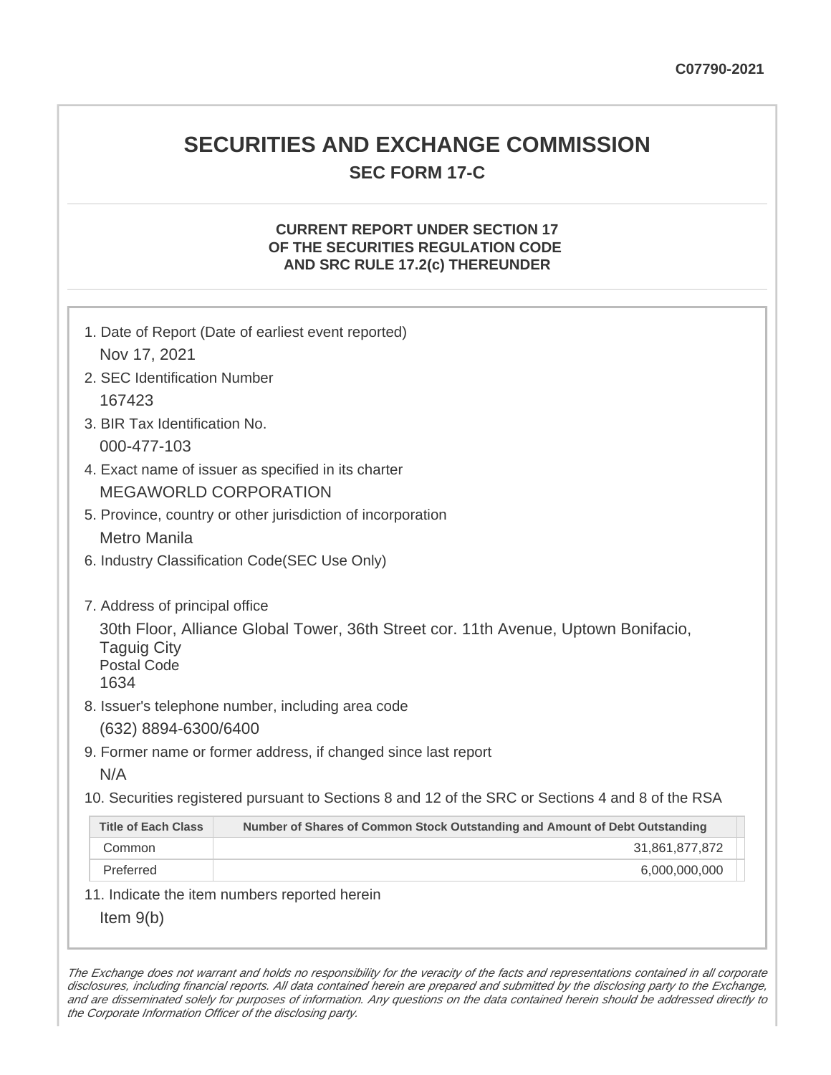# **SECURITIES AND EXCHANGE COMMISSION SEC FORM 17-C**

# **CURRENT REPORT UNDER SECTION 17 OF THE SECURITIES REGULATION CODE AND SRC RULE 17.2(c) THEREUNDER**

| Nov 17, 2021                                                                       | 1. Date of Report (Date of earliest event reported)                                               |
|------------------------------------------------------------------------------------|---------------------------------------------------------------------------------------------------|
| 2. SEC Identification Number                                                       |                                                                                                   |
| 167423                                                                             |                                                                                                   |
| 3. BIR Tax Identification No.                                                      |                                                                                                   |
| 000-477-103                                                                        |                                                                                                   |
|                                                                                    | 4. Exact name of issuer as specified in its charter                                               |
|                                                                                    | <b>MEGAWORLD CORPORATION</b>                                                                      |
|                                                                                    | 5. Province, country or other jurisdiction of incorporation                                       |
| Metro Manila                                                                       |                                                                                                   |
|                                                                                    | 6. Industry Classification Code(SEC Use Only)                                                     |
| 7. Address of principal office<br><b>Taguig City</b><br><b>Postal Code</b><br>1634 | 30th Floor, Alliance Global Tower, 36th Street cor. 11th Avenue, Uptown Bonifacio,                |
|                                                                                    | 8. Issuer's telephone number, including area code                                                 |
| (632) 8894-6300/6400                                                               |                                                                                                   |
|                                                                                    | 9. Former name or former address, if changed since last report                                    |
| N/A                                                                                |                                                                                                   |
|                                                                                    | 10. Securities registered pursuant to Sections 8 and 12 of the SRC or Sections 4 and 8 of the RSA |
| <b>Title of Each Class</b>                                                         | Number of Shares of Common Stock Outstanding and Amount of Debt Outstanding                       |
| Common                                                                             | 31,861,877,872                                                                                    |
| Preferred                                                                          | 6,000,000,000                                                                                     |
|                                                                                    | 11. Indicate the item numbers reported herein                                                     |
| Item $9(b)$                                                                        |                                                                                                   |

The Exchange does not warrant and holds no responsibility for the veracity of the facts and representations contained in all corporate disclosures, including financial reports. All data contained herein are prepared and submitted by the disclosing party to the Exchange, and are disseminated solely for purposes of information. Any questions on the data contained herein should be addressed directly to the Corporate Information Officer of the disclosing party.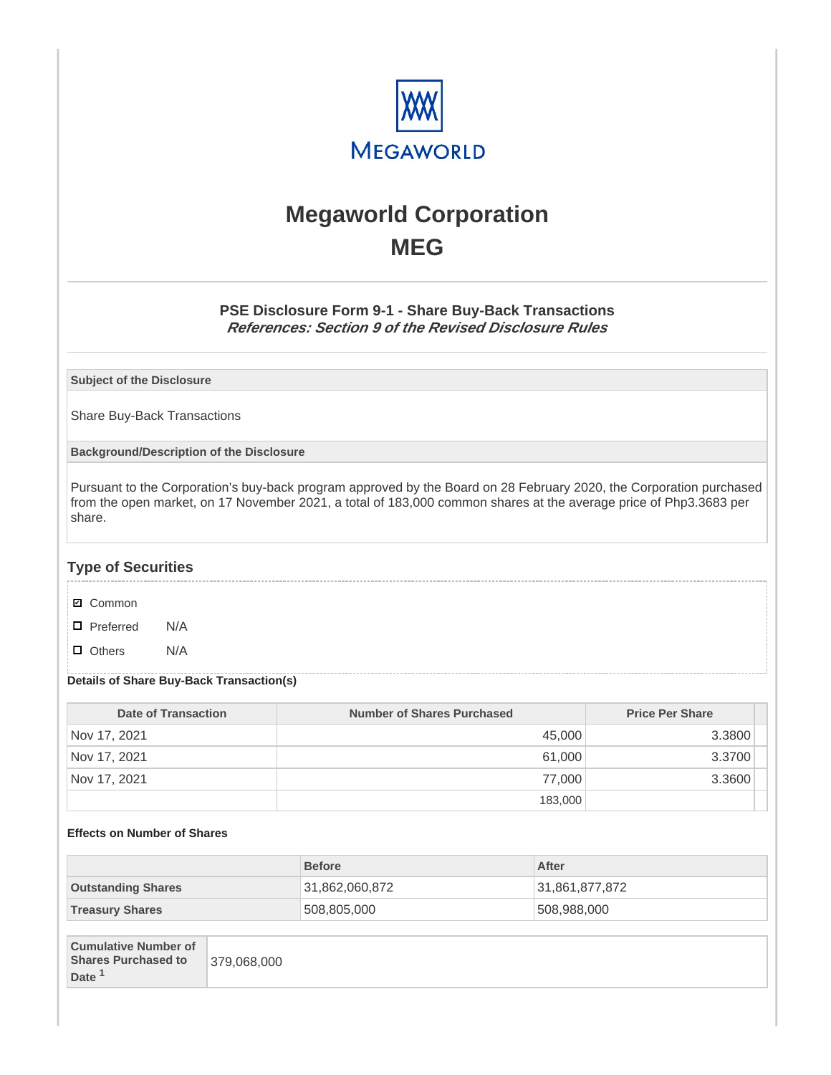

# **Megaworld Corporation MEG**

# **PSE Disclosure Form 9-1 - Share Buy-Back Transactions References: Section 9 of the Revised Disclosure Rules**

**Subject of the Disclosure**

Share Buy-Back Transactions

**Background/Description of the Disclosure**

Pursuant to the Corporation's buy-back program approved by the Board on 28 February 2020, the Corporation purchased from the open market, on 17 November 2021, a total of 183,000 common shares at the average price of Php3.3683 per share.

# **Type of Securities**

- **☑** Common
- □ Preferred N/A
- D Others N/A

#### **Details of Share Buy-Back Transaction(s)**

| Date of Transaction | Number of Shares Purchased | <b>Price Per Share</b> |
|---------------------|----------------------------|------------------------|
| Nov 17, 2021        | 45,000                     | 3.3800                 |
| Nov 17, 2021        | 61,000                     | 3.3700                 |
| Nov 17, 2021        | 77.000                     | 3.3600                 |
|                     | 183,000                    |                        |

#### **Effects on Number of Shares**

|                             | <b>Before</b>  | After          |
|-----------------------------|----------------|----------------|
| <b>Outstanding Shares</b>   | 31,862,060,872 | 31,861,877,872 |
| <b>Treasury Shares</b>      | 508,805,000    | 508,988,000    |
|                             |                |                |
| <b>Cumulative Number of</b> |                |                |

| <b>Cumulative Number of</b> |             |
|-----------------------------|-------------|
| <b>Shares Purchased to</b>  | 379.068.000 |
| Date                        |             |